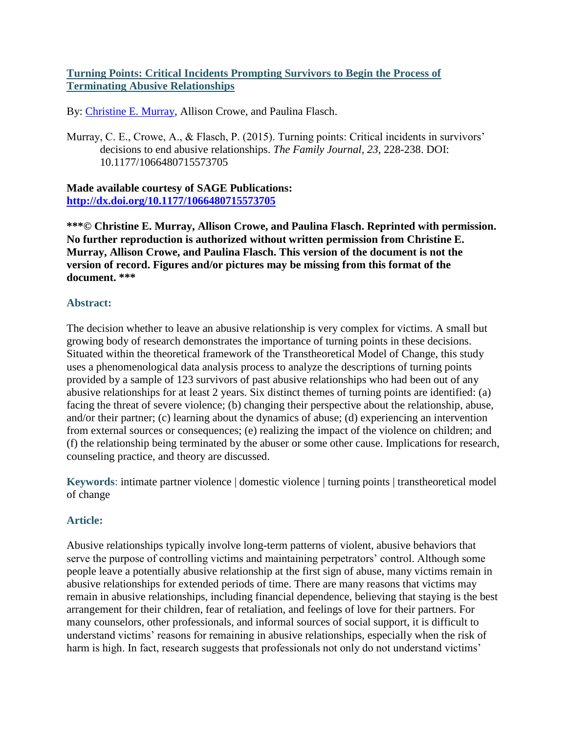# **Turning Points: Critical Incidents Prompting Survivors to Begin the Process of Terminating Abusive Relationships**

By: [Christine E. Murray,](https://libres.uncg.edu/ir/uncg/clist.aspx?id=894) Allison Crowe, and Paulina Flasch.

Murray, C. E., Crowe, A., & Flasch, P. (2015). Turning points: Critical incidents in survivors' decisions to end abusive relationships. *The Family Journal, 23,* 228-238. DOI: 10.1177/1066480715573705

**Made available courtesy of SAGE Publications: <http://dx.doi.org/10.1177/1066480715573705>**

**\*\*\*© Christine E. Murray, Allison Crowe, and Paulina Flasch. Reprinted with permission. No further reproduction is authorized without written permission from Christine E. Murray, Allison Crowe, and Paulina Flasch. This version of the document is not the version of record. Figures and/or pictures may be missing from this format of the document. \*\*\***

# **Abstract:**

The decision whether to leave an abusive relationship is very complex for victims. A small but growing body of research demonstrates the importance of turning points in these decisions. Situated within the theoretical framework of the Transtheoretical Model of Change, this study uses a phenomenological data analysis process to analyze the descriptions of turning points provided by a sample of 123 survivors of past abusive relationships who had been out of any abusive relationships for at least 2 years. Six distinct themes of turning points are identified: (a) facing the threat of severe violence; (b) changing their perspective about the relationship, abuse, and/or their partner; (c) learning about the dynamics of abuse; (d) experiencing an intervention from external sources or consequences; (e) realizing the impact of the violence on children; and (f) the relationship being terminated by the abuser or some other cause. Implications for research, counseling practice, and theory are discussed.

**Keywords**: intimate partner violence | domestic violence | turning points | transtheoretical model of change

# **Article:**

Abusive relationships typically involve long-term patterns of violent, abusive behaviors that serve the purpose of controlling victims and maintaining perpetrators' control. Although some people leave a potentially abusive relationship at the first sign of abuse, many victims remain in abusive relationships for extended periods of time. There are many reasons that victims may remain in abusive relationships, including financial dependence, believing that staying is the best arrangement for their children, fear of retaliation, and feelings of love for their partners. For many counselors, other professionals, and informal sources of social support, it is difficult to understand victims' reasons for remaining in abusive relationships, especially when the risk of harm is high. In fact, research suggests that professionals not only do not understand victims'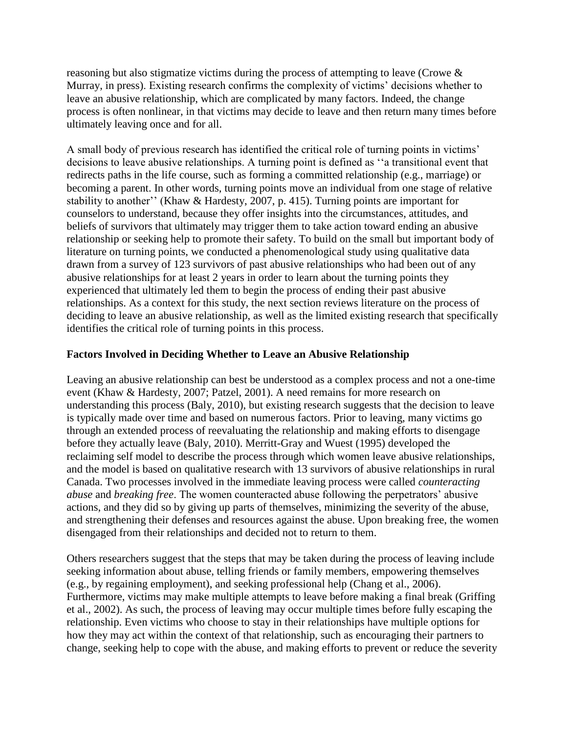reasoning but also stigmatize victims during the process of attempting to leave (Crowe & Murray, in press). Existing research confirms the complexity of victims' decisions whether to leave an abusive relationship, which are complicated by many factors. Indeed, the change process is often nonlinear, in that victims may decide to leave and then return many times before ultimately leaving once and for all.

A small body of previous research has identified the critical role of turning points in victims' decisions to leave abusive relationships. A turning point is defined as ''a transitional event that redirects paths in the life course, such as forming a committed relationship (e.g., marriage) or becoming a parent. In other words, turning points move an individual from one stage of relative stability to another'' (Khaw & Hardesty, 2007, p. 415). Turning points are important for counselors to understand, because they offer insights into the circumstances, attitudes, and beliefs of survivors that ultimately may trigger them to take action toward ending an abusive relationship or seeking help to promote their safety. To build on the small but important body of literature on turning points, we conducted a phenomenological study using qualitative data drawn from a survey of 123 survivors of past abusive relationships who had been out of any abusive relationships for at least 2 years in order to learn about the turning points they experienced that ultimately led them to begin the process of ending their past abusive relationships. As a context for this study, the next section reviews literature on the process of deciding to leave an abusive relationship, as well as the limited existing research that specifically identifies the critical role of turning points in this process.

# **Factors Involved in Deciding Whether to Leave an Abusive Relationship**

Leaving an abusive relationship can best be understood as a complex process and not a one-time event (Khaw & Hardesty, 2007; Patzel, 2001). A need remains for more research on understanding this process (Baly, 2010), but existing research suggests that the decision to leave is typically made over time and based on numerous factors. Prior to leaving, many victims go through an extended process of reevaluating the relationship and making efforts to disengage before they actually leave (Baly, 2010). Merritt-Gray and Wuest (1995) developed the reclaiming self model to describe the process through which women leave abusive relationships, and the model is based on qualitative research with 13 survivors of abusive relationships in rural Canada. Two processes involved in the immediate leaving process were called *counteracting abuse* and *breaking free*. The women counteracted abuse following the perpetrators' abusive actions, and they did so by giving up parts of themselves, minimizing the severity of the abuse, and strengthening their defenses and resources against the abuse. Upon breaking free, the women disengaged from their relationships and decided not to return to them.

Others researchers suggest that the steps that may be taken during the process of leaving include seeking information about abuse, telling friends or family members, empowering themselves (e.g., by regaining employment), and seeking professional help (Chang et al., 2006). Furthermore, victims may make multiple attempts to leave before making a final break (Griffing et al., 2002). As such, the process of leaving may occur multiple times before fully escaping the relationship. Even victims who choose to stay in their relationships have multiple options for how they may act within the context of that relationship, such as encouraging their partners to change, seeking help to cope with the abuse, and making efforts to prevent or reduce the severity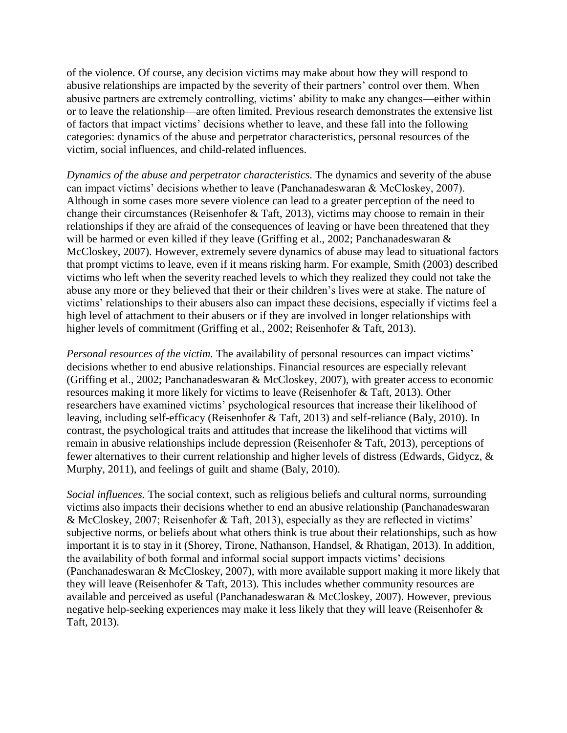of the violence. Of course, any decision victims may make about how they will respond to abusive relationships are impacted by the severity of their partners' control over them. When abusive partners are extremely controlling, victims' ability to make any changes—either within or to leave the relationship—are often limited. Previous research demonstrates the extensive list of factors that impact victims' decisions whether to leave, and these fall into the following categories: dynamics of the abuse and perpetrator characteristics, personal resources of the victim, social influences, and child-related influences.

*Dynamics of the abuse and perpetrator characteristics.* The dynamics and severity of the abuse can impact victims' decisions whether to leave (Panchanadeswaran & McCloskey, 2007). Although in some cases more severe violence can lead to a greater perception of the need to change their circumstances (Reisenhofer & Taft, 2013), victims may choose to remain in their relationships if they are afraid of the consequences of leaving or have been threatened that they will be harmed or even killed if they leave (Griffing et al., 2002; Panchanadeswaran  $\&$ McCloskey, 2007). However, extremely severe dynamics of abuse may lead to situational factors that prompt victims to leave, even if it means risking harm. For example, Smith (2003) described victims who left when the severity reached levels to which they realized they could not take the abuse any more or they believed that their or their children's lives were at stake. The nature of victims' relationships to their abusers also can impact these decisions, especially if victims feel a high level of attachment to their abusers or if they are involved in longer relationships with higher levels of commitment (Griffing et al., 2002; Reisenhofer & Taft, 2013).

*Personal resources of the victim.* The availability of personal resources can impact victims' decisions whether to end abusive relationships. Financial resources are especially relevant (Griffing et al., 2002; Panchanadeswaran & McCloskey, 2007), with greater access to economic resources making it more likely for victims to leave (Reisenhofer & Taft, 2013). Other researchers have examined victims' psychological resources that increase their likelihood of leaving, including self-efficacy (Reisenhofer & Taft, 2013) and self-reliance (Baly, 2010). In contrast, the psychological traits and attitudes that increase the likelihood that victims will remain in abusive relationships include depression (Reisenhofer & Taft, 2013), perceptions of fewer alternatives to their current relationship and higher levels of distress (Edwards, Gidycz, & Murphy, 2011), and feelings of guilt and shame (Baly, 2010).

*Social influences.* The social context, such as religious beliefs and cultural norms, surrounding victims also impacts their decisions whether to end an abusive relationship (Panchanadeswaran & McCloskey, 2007; Reisenhofer & Taft, 2013), especially as they are reflected in victims' subjective norms, or beliefs about what others think is true about their relationships, such as how important it is to stay in it (Shorey, Tirone, Nathanson, Handsel, & Rhatigan, 2013). In addition, the availability of both formal and informal social support impacts victims' decisions (Panchanadeswaran & McCloskey, 2007), with more available support making it more likely that they will leave (Reisenhofer & Taft, 2013). This includes whether community resources are available and perceived as useful (Panchanadeswaran & McCloskey, 2007). However, previous negative help-seeking experiences may make it less likely that they will leave (Reisenhofer & Taft, 2013).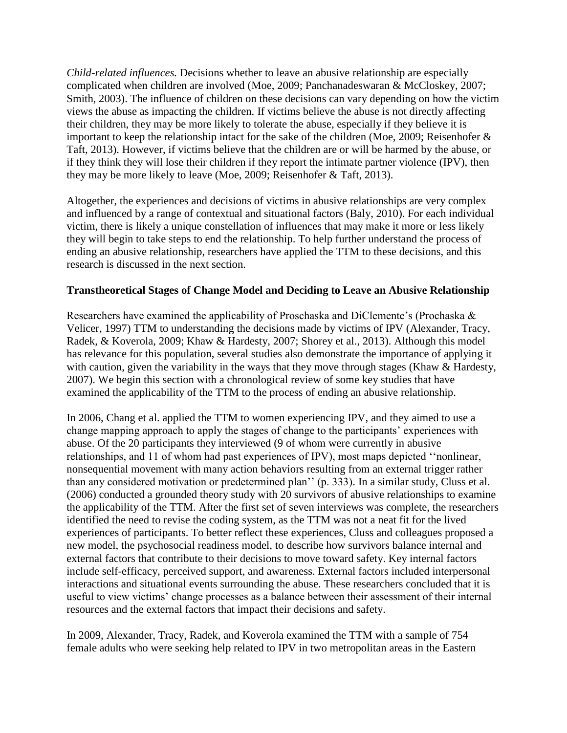*Child-related influences.* Decisions whether to leave an abusive relationship are especially complicated when children are involved (Moe, 2009; Panchanadeswaran & McCloskey, 2007; Smith, 2003). The influence of children on these decisions can vary depending on how the victim views the abuse as impacting the children. If victims believe the abuse is not directly affecting their children, they may be more likely to tolerate the abuse, especially if they believe it is important to keep the relationship intact for the sake of the children (Moe, 2009; Reisenhofer & Taft, 2013). However, if victims believe that the children are or will be harmed by the abuse, or if they think they will lose their children if they report the intimate partner violence (IPV), then they may be more likely to leave (Moe, 2009; Reisenhofer & Taft, 2013).

Altogether, the experiences and decisions of victims in abusive relationships are very complex and influenced by a range of contextual and situational factors (Baly, 2010). For each individual victim, there is likely a unique constellation of influences that may make it more or less likely they will begin to take steps to end the relationship. To help further understand the process of ending an abusive relationship, researchers have applied the TTM to these decisions, and this research is discussed in the next section.

## **Transtheoretical Stages of Change Model and Deciding to Leave an Abusive Relationship**

Researchers have examined the applicability of Proschaska and DiClemente's (Prochaska & Velicer, 1997) TTM to understanding the decisions made by victims of IPV (Alexander, Tracy, Radek, & Koverola, 2009; Khaw & Hardesty, 2007; Shorey et al., 2013). Although this model has relevance for this population, several studies also demonstrate the importance of applying it with caution, given the variability in the ways that they move through stages (Khaw & Hardesty, 2007). We begin this section with a chronological review of some key studies that have examined the applicability of the TTM to the process of ending an abusive relationship.

In 2006, Chang et al. applied the TTM to women experiencing IPV, and they aimed to use a change mapping approach to apply the stages of change to the participants' experiences with abuse. Of the 20 participants they interviewed (9 of whom were currently in abusive relationships, and 11 of whom had past experiences of IPV), most maps depicted ''nonlinear, nonsequential movement with many action behaviors resulting from an external trigger rather than any considered motivation or predetermined plan'' (p. 333). In a similar study, Cluss et al. (2006) conducted a grounded theory study with 20 survivors of abusive relationships to examine the applicability of the TTM. After the first set of seven interviews was complete, the researchers identified the need to revise the coding system, as the TTM was not a neat fit for the lived experiences of participants. To better reflect these experiences, Cluss and colleagues proposed a new model, the psychosocial readiness model, to describe how survivors balance internal and external factors that contribute to their decisions to move toward safety. Key internal factors include self-efficacy, perceived support, and awareness. External factors included interpersonal interactions and situational events surrounding the abuse. These researchers concluded that it is useful to view victims' change processes as a balance between their assessment of their internal resources and the external factors that impact their decisions and safety.

In 2009, Alexander, Tracy, Radek, and Koverola examined the TTM with a sample of 754 female adults who were seeking help related to IPV in two metropolitan areas in the Eastern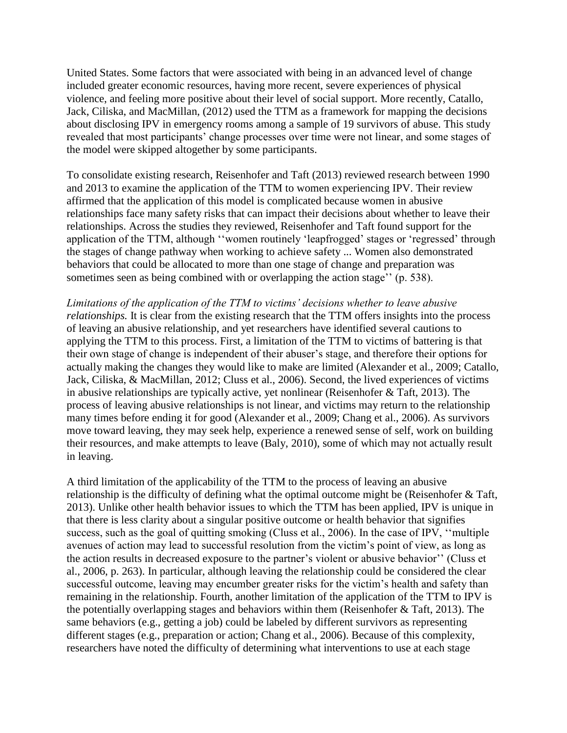United States. Some factors that were associated with being in an advanced level of change included greater economic resources, having more recent, severe experiences of physical violence, and feeling more positive about their level of social support. More recently, Catallo, Jack, Ciliska, and MacMillan, (2012) used the TTM as a framework for mapping the decisions about disclosing IPV in emergency rooms among a sample of 19 survivors of abuse. This study revealed that most participants' change processes over time were not linear, and some stages of the model were skipped altogether by some participants.

To consolidate existing research, Reisenhofer and Taft (2013) reviewed research between 1990 and 2013 to examine the application of the TTM to women experiencing IPV. Their review affirmed that the application of this model is complicated because women in abusive relationships face many safety risks that can impact their decisions about whether to leave their relationships. Across the studies they reviewed, Reisenhofer and Taft found support for the application of the TTM, although ''women routinely 'leapfrogged' stages or 'regressed' through the stages of change pathway when working to achieve safety ... Women also demonstrated behaviors that could be allocated to more than one stage of change and preparation was sometimes seen as being combined with or overlapping the action stage'' (p. 538).

*Limitations of the application of the TTM to victims' decisions whether to leave abusive relationships.* It is clear from the existing research that the TTM offers insights into the process of leaving an abusive relationship, and yet researchers have identified several cautions to applying the TTM to this process. First, a limitation of the TTM to victims of battering is that their own stage of change is independent of their abuser's stage, and therefore their options for actually making the changes they would like to make are limited (Alexander et al., 2009; Catallo, Jack, Ciliska, & MacMillan, 2012; Cluss et al., 2006). Second, the lived experiences of victims in abusive relationships are typically active, yet nonlinear (Reisenhofer & Taft, 2013). The process of leaving abusive relationships is not linear, and victims may return to the relationship many times before ending it for good (Alexander et al., 2009; Chang et al., 2006). As survivors move toward leaving, they may seek help, experience a renewed sense of self, work on building their resources, and make attempts to leave (Baly, 2010), some of which may not actually result in leaving.

A third limitation of the applicability of the TTM to the process of leaving an abusive relationship is the difficulty of defining what the optimal outcome might be (Reisenhofer & Taft, 2013). Unlike other health behavior issues to which the TTM has been applied, IPV is unique in that there is less clarity about a singular positive outcome or health behavior that signifies success, such as the goal of quitting smoking (Cluss et al., 2006). In the case of IPV, "multiple avenues of action may lead to successful resolution from the victim's point of view, as long as the action results in decreased exposure to the partner's violent or abusive behavior'' (Cluss et al., 2006, p. 263). In particular, although leaving the relationship could be considered the clear successful outcome, leaving may encumber greater risks for the victim's health and safety than remaining in the relationship. Fourth, another limitation of the application of the TTM to IPV is the potentially overlapping stages and behaviors within them (Reisenhofer & Taft, 2013). The same behaviors (e.g., getting a job) could be labeled by different survivors as representing different stages (e.g., preparation or action; Chang et al., 2006). Because of this complexity, researchers have noted the difficulty of determining what interventions to use at each stage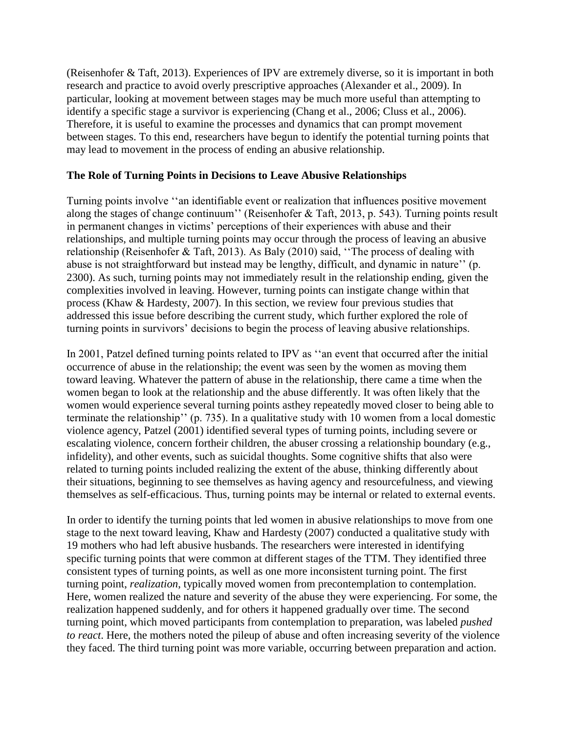(Reisenhofer & Taft, 2013). Experiences of IPV are extremely diverse, so it is important in both research and practice to avoid overly prescriptive approaches (Alexander et al., 2009). In particular, looking at movement between stages may be much more useful than attempting to identify a specific stage a survivor is experiencing (Chang et al., 2006; Cluss et al., 2006). Therefore, it is useful to examine the processes and dynamics that can prompt movement between stages. To this end, researchers have begun to identify the potential turning points that may lead to movement in the process of ending an abusive relationship.

## **The Role of Turning Points in Decisions to Leave Abusive Relationships**

Turning points involve ''an identifiable event or realization that influences positive movement along the stages of change continuum'' (Reisenhofer & Taft, 2013, p. 543). Turning points result in permanent changes in victims' perceptions of their experiences with abuse and their relationships, and multiple turning points may occur through the process of leaving an abusive relationship (Reisenhofer & Taft, 2013). As Baly (2010) said, ''The process of dealing with abuse is not straightforward but instead may be lengthy, difficult, and dynamic in nature'' (p. 2300). As such, turning points may not immediately result in the relationship ending, given the complexities involved in leaving. However, turning points can instigate change within that process (Khaw & Hardesty, 2007). In this section, we review four previous studies that addressed this issue before describing the current study, which further explored the role of turning points in survivors' decisions to begin the process of leaving abusive relationships.

In 2001, Patzel defined turning points related to IPV as ''an event that occurred after the initial occurrence of abuse in the relationship; the event was seen by the women as moving them toward leaving. Whatever the pattern of abuse in the relationship, there came a time when the women began to look at the relationship and the abuse differently. It was often likely that the women would experience several turning points asthey repeatedly moved closer to being able to terminate the relationship'' (p. 735). In a qualitative study with 10 women from a local domestic violence agency, Patzel (2001) identified several types of turning points, including severe or escalating violence, concern fortheir children, the abuser crossing a relationship boundary (e.g., infidelity), and other events, such as suicidal thoughts. Some cognitive shifts that also were related to turning points included realizing the extent of the abuse, thinking differently about their situations, beginning to see themselves as having agency and resourcefulness, and viewing themselves as self-efficacious. Thus, turning points may be internal or related to external events.

In order to identify the turning points that led women in abusive relationships to move from one stage to the next toward leaving, Khaw and Hardesty (2007) conducted a qualitative study with 19 mothers who had left abusive husbands. The researchers were interested in identifying specific turning points that were common at different stages of the TTM. They identified three consistent types of turning points, as well as one more inconsistent turning point. The first turning point, *realization*, typically moved women from precontemplation to contemplation. Here, women realized the nature and severity of the abuse they were experiencing. For some, the realization happened suddenly, and for others it happened gradually over time. The second turning point, which moved participants from contemplation to preparation, was labeled *pushed to react*. Here, the mothers noted the pileup of abuse and often increasing severity of the violence they faced. The third turning point was more variable, occurring between preparation and action.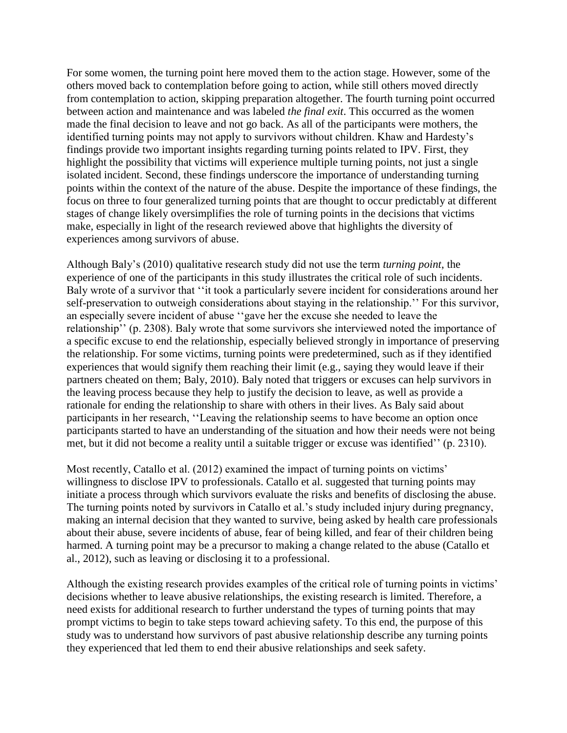For some women, the turning point here moved them to the action stage. However, some of the others moved back to contemplation before going to action, while still others moved directly from contemplation to action, skipping preparation altogether. The fourth turning point occurred between action and maintenance and was labeled *the final exit*. This occurred as the women made the final decision to leave and not go back. As all of the participants were mothers, the identified turning points may not apply to survivors without children. Khaw and Hardesty's findings provide two important insights regarding turning points related to IPV. First, they highlight the possibility that victims will experience multiple turning points, not just a single isolated incident. Second, these findings underscore the importance of understanding turning points within the context of the nature of the abuse. Despite the importance of these findings, the focus on three to four generalized turning points that are thought to occur predictably at different stages of change likely oversimplifies the role of turning points in the decisions that victims make, especially in light of the research reviewed above that highlights the diversity of experiences among survivors of abuse.

Although Baly's (2010) qualitative research study did not use the term *turning point*, the experience of one of the participants in this study illustrates the critical role of such incidents. Baly wrote of a survivor that ''it took a particularly severe incident for considerations around her self-preservation to outweigh considerations about staying in the relationship.'' For this survivor, an especially severe incident of abuse ''gave her the excuse she needed to leave the relationship'' (p. 2308). Baly wrote that some survivors she interviewed noted the importance of a specific excuse to end the relationship, especially believed strongly in importance of preserving the relationship. For some victims, turning points were predetermined, such as if they identified experiences that would signify them reaching their limit (e.g., saying they would leave if their partners cheated on them; Baly, 2010). Baly noted that triggers or excuses can help survivors in the leaving process because they help to justify the decision to leave, as well as provide a rationale for ending the relationship to share with others in their lives. As Baly said about participants in her research, ''Leaving the relationship seems to have become an option once participants started to have an understanding of the situation and how their needs were not being met, but it did not become a reality until a suitable trigger or excuse was identified'' (p. 2310).

Most recently, Catallo et al. (2012) examined the impact of turning points on victims' willingness to disclose IPV to professionals. Catallo et al. suggested that turning points may initiate a process through which survivors evaluate the risks and benefits of disclosing the abuse. The turning points noted by survivors in Catallo et al.'s study included injury during pregnancy, making an internal decision that they wanted to survive, being asked by health care professionals about their abuse, severe incidents of abuse, fear of being killed, and fear of their children being harmed. A turning point may be a precursor to making a change related to the abuse (Catallo et al., 2012), such as leaving or disclosing it to a professional.

Although the existing research provides examples of the critical role of turning points in victims' decisions whether to leave abusive relationships, the existing research is limited. Therefore, a need exists for additional research to further understand the types of turning points that may prompt victims to begin to take steps toward achieving safety. To this end, the purpose of this study was to understand how survivors of past abusive relationship describe any turning points they experienced that led them to end their abusive relationships and seek safety.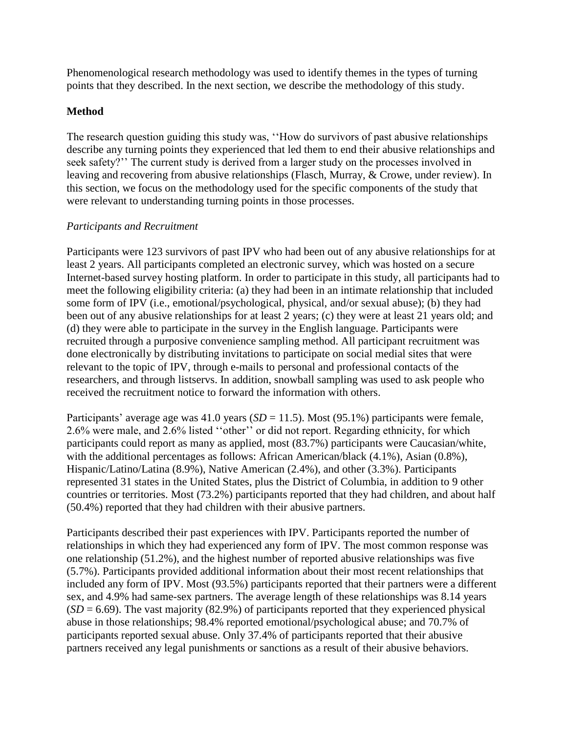Phenomenological research methodology was used to identify themes in the types of turning points that they described. In the next section, we describe the methodology of this study.

# **Method**

The research question guiding this study was, ''How do survivors of past abusive relationships describe any turning points they experienced that led them to end their abusive relationships and seek safety?'' The current study is derived from a larger study on the processes involved in leaving and recovering from abusive relationships (Flasch, Murray, & Crowe, under review). In this section, we focus on the methodology used for the specific components of the study that were relevant to understanding turning points in those processes.

# *Participants and Recruitment*

Participants were 123 survivors of past IPV who had been out of any abusive relationships for at least 2 years. All participants completed an electronic survey, which was hosted on a secure Internet-based survey hosting platform. In order to participate in this study, all participants had to meet the following eligibility criteria: (a) they had been in an intimate relationship that included some form of IPV (i.e., emotional/psychological, physical, and/or sexual abuse); (b) they had been out of any abusive relationships for at least 2 years; (c) they were at least 21 years old; and (d) they were able to participate in the survey in the English language. Participants were recruited through a purposive convenience sampling method. All participant recruitment was done electronically by distributing invitations to participate on social medial sites that were relevant to the topic of IPV, through e-mails to personal and professional contacts of the researchers, and through listservs. In addition, snowball sampling was used to ask people who received the recruitment notice to forward the information with others.

Participants' average age was 41.0 years (*SD* = 11.5). Most (95.1%) participants were female, 2.6% were male, and 2.6% listed ''other'' or did not report. Regarding ethnicity, for which participants could report as many as applied, most (83.7%) participants were Caucasian/white, with the additional percentages as follows: African American/black (4.1%), Asian (0.8%), Hispanic/Latino/Latina (8.9%), Native American (2.4%), and other (3.3%). Participants represented 31 states in the United States, plus the District of Columbia, in addition to 9 other countries or territories. Most (73.2%) participants reported that they had children, and about half (50.4%) reported that they had children with their abusive partners.

Participants described their past experiences with IPV. Participants reported the number of relationships in which they had experienced any form of IPV. The most common response was one relationship (51.2%), and the highest number of reported abusive relationships was five (5.7%). Participants provided additional information about their most recent relationships that included any form of IPV. Most (93.5%) participants reported that their partners were a different sex, and 4.9% had same-sex partners. The average length of these relationships was 8.14 years  $(SD = 6.69)$ . The vast majority (82.9%) of participants reported that they experienced physical abuse in those relationships; 98.4% reported emotional/psychological abuse; and 70.7% of participants reported sexual abuse. Only 37.4% of participants reported that their abusive partners received any legal punishments or sanctions as a result of their abusive behaviors.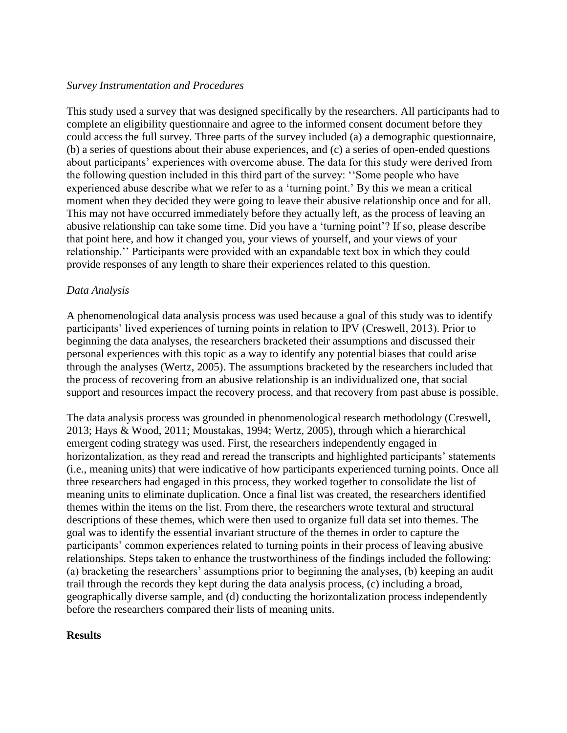#### *Survey Instrumentation and Procedures*

This study used a survey that was designed specifically by the researchers. All participants had to complete an eligibility questionnaire and agree to the informed consent document before they could access the full survey. Three parts of the survey included (a) a demographic questionnaire, (b) a series of questions about their abuse experiences, and (c) a series of open-ended questions about participants' experiences with overcome abuse. The data for this study were derived from the following question included in this third part of the survey: ''Some people who have experienced abuse describe what we refer to as a 'turning point.' By this we mean a critical moment when they decided they were going to leave their abusive relationship once and for all. This may not have occurred immediately before they actually left, as the process of leaving an abusive relationship can take some time. Did you have a 'turning point'? If so, please describe that point here, and how it changed you, your views of yourself, and your views of your relationship.'' Participants were provided with an expandable text box in which they could provide responses of any length to share their experiences related to this question.

#### *Data Analysis*

A phenomenological data analysis process was used because a goal of this study was to identify participants' lived experiences of turning points in relation to IPV (Creswell, 2013). Prior to beginning the data analyses, the researchers bracketed their assumptions and discussed their personal experiences with this topic as a way to identify any potential biases that could arise through the analyses (Wertz, 2005). The assumptions bracketed by the researchers included that the process of recovering from an abusive relationship is an individualized one, that social support and resources impact the recovery process, and that recovery from past abuse is possible.

The data analysis process was grounded in phenomenological research methodology (Creswell, 2013; Hays & Wood, 2011; Moustakas, 1994; Wertz, 2005), through which a hierarchical emergent coding strategy was used. First, the researchers independently engaged in horizontalization, as they read and reread the transcripts and highlighted participants' statements (i.e., meaning units) that were indicative of how participants experienced turning points. Once all three researchers had engaged in this process, they worked together to consolidate the list of meaning units to eliminate duplication. Once a final list was created, the researchers identified themes within the items on the list. From there, the researchers wrote textural and structural descriptions of these themes, which were then used to organize full data set into themes. The goal was to identify the essential invariant structure of the themes in order to capture the participants' common experiences related to turning points in their process of leaving abusive relationships. Steps taken to enhance the trustworthiness of the findings included the following: (a) bracketing the researchers' assumptions prior to beginning the analyses, (b) keeping an audit trail through the records they kept during the data analysis process, (c) including a broad, geographically diverse sample, and (d) conducting the horizontalization process independently before the researchers compared their lists of meaning units.

#### **Results**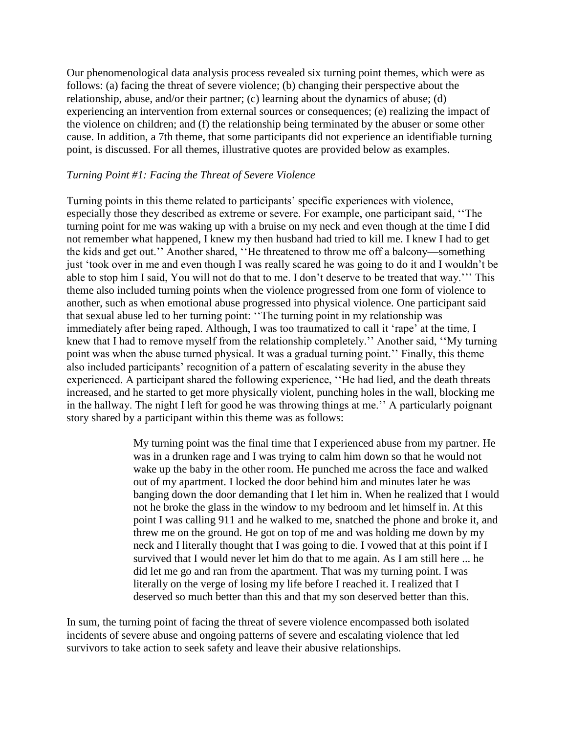Our phenomenological data analysis process revealed six turning point themes, which were as follows: (a) facing the threat of severe violence; (b) changing their perspective about the relationship, abuse, and/or their partner; (c) learning about the dynamics of abuse; (d) experiencing an intervention from external sources or consequences; (e) realizing the impact of the violence on children; and (f) the relationship being terminated by the abuser or some other cause. In addition, a 7th theme, that some participants did not experience an identifiable turning point, is discussed. For all themes, illustrative quotes are provided below as examples.

#### *Turning Point #1: Facing the Threat of Severe Violence*

Turning points in this theme related to participants' specific experiences with violence, especially those they described as extreme or severe. For example, one participant said, ''The turning point for me was waking up with a bruise on my neck and even though at the time I did not remember what happened, I knew my then husband had tried to kill me. I knew I had to get the kids and get out.'' Another shared, ''He threatened to throw me off a balcony—something just 'took over in me and even though I was really scared he was going to do it and I wouldn't be able to stop him I said, You will not do that to me. I don't deserve to be treated that way.''' This theme also included turning points when the violence progressed from one form of violence to another, such as when emotional abuse progressed into physical violence. One participant said that sexual abuse led to her turning point: ''The turning point in my relationship was immediately after being raped. Although, I was too traumatized to call it 'rape' at the time, I knew that I had to remove myself from the relationship completely.'' Another said, ''My turning point was when the abuse turned physical. It was a gradual turning point.'' Finally, this theme also included participants' recognition of a pattern of escalating severity in the abuse they experienced. A participant shared the following experience, ''He had lied, and the death threats increased, and he started to get more physically violent, punching holes in the wall, blocking me in the hallway. The night I left for good he was throwing things at me.'' A particularly poignant story shared by a participant within this theme was as follows:

> My turning point was the final time that I experienced abuse from my partner. He was in a drunken rage and I was trying to calm him down so that he would not wake up the baby in the other room. He punched me across the face and walked out of my apartment. I locked the door behind him and minutes later he was banging down the door demanding that I let him in. When he realized that I would not he broke the glass in the window to my bedroom and let himself in. At this point I was calling 911 and he walked to me, snatched the phone and broke it, and threw me on the ground. He got on top of me and was holding me down by my neck and I literally thought that I was going to die. I vowed that at this point if I survived that I would never let him do that to me again. As I am still here ... he did let me go and ran from the apartment. That was my turning point. I was literally on the verge of losing my life before I reached it. I realized that I deserved so much better than this and that my son deserved better than this.

In sum, the turning point of facing the threat of severe violence encompassed both isolated incidents of severe abuse and ongoing patterns of severe and escalating violence that led survivors to take action to seek safety and leave their abusive relationships.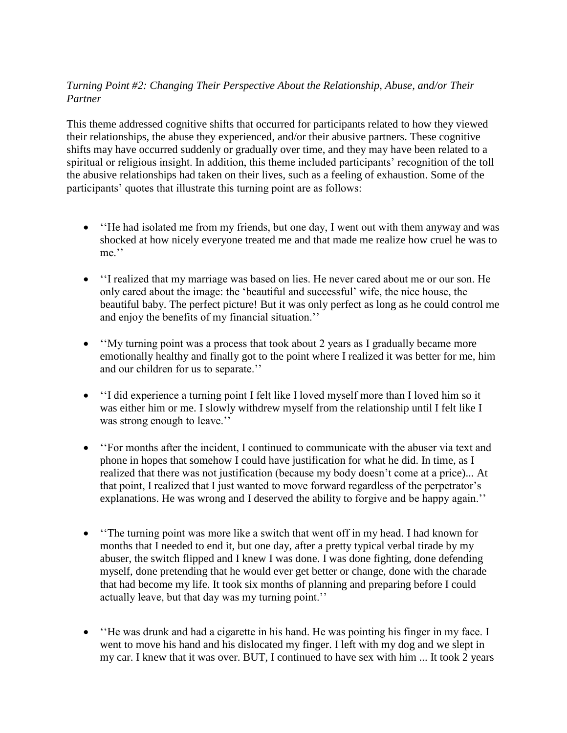# *Turning Point #2: Changing Their Perspective About the Relationship, Abuse, and/or Their Partner*

This theme addressed cognitive shifts that occurred for participants related to how they viewed their relationships, the abuse they experienced, and/or their abusive partners. These cognitive shifts may have occurred suddenly or gradually over time, and they may have been related to a spiritual or religious insight. In addition, this theme included participants' recognition of the toll the abusive relationships had taken on their lives, such as a feeling of exhaustion. Some of the participants' quotes that illustrate this turning point are as follows:

- ''He had isolated me from my friends, but one day, I went out with them anyway and was shocked at how nicely everyone treated me and that made me realize how cruel he was to me."
- ''I realized that my marriage was based on lies. He never cared about me or our son. He only cared about the image: the 'beautiful and successful' wife, the nice house, the beautiful baby. The perfect picture! But it was only perfect as long as he could control me and enjoy the benefits of my financial situation.''
- ''My turning point was a process that took about 2 years as I gradually became more emotionally healthy and finally got to the point where I realized it was better for me, him and our children for us to separate.''
- ''I did experience a turning point I felt like I loved myself more than I loved him so it was either him or me. I slowly withdrew myself from the relationship until I felt like I was strong enough to leave.''
- ''For months after the incident, I continued to communicate with the abuser via text and phone in hopes that somehow I could have justification for what he did. In time, as I realized that there was not justification (because my body doesn't come at a price)... At that point, I realized that I just wanted to move forward regardless of the perpetrator's explanations. He was wrong and I deserved the ability to forgive and be happy again.''
- ''The turning point was more like a switch that went off in my head. I had known for months that I needed to end it, but one day, after a pretty typical verbal tirade by my abuser, the switch flipped and I knew I was done. I was done fighting, done defending myself, done pretending that he would ever get better or change, done with the charade that had become my life. It took six months of planning and preparing before I could actually leave, but that day was my turning point.''
- ''He was drunk and had a cigarette in his hand. He was pointing his finger in my face. I went to move his hand and his dislocated my finger. I left with my dog and we slept in my car. I knew that it was over. BUT, I continued to have sex with him ... It took 2 years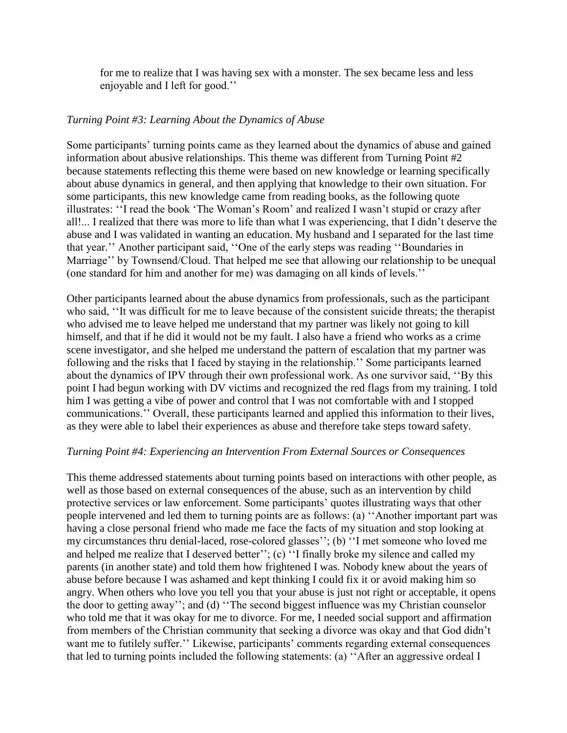for me to realize that I was having sex with a monster. The sex became less and less enjoyable and I left for good.''

#### *Turning Point #3: Learning About the Dynamics of Abuse*

Some participants' turning points came as they learned about the dynamics of abuse and gained information about abusive relationships. This theme was different from Turning Point #2 because statements reflecting this theme were based on new knowledge or learning specifically about abuse dynamics in general, and then applying that knowledge to their own situation. For some participants, this new knowledge came from reading books, as the following quote illustrates: ''I read the book 'The Woman's Room' and realized I wasn't stupid or crazy after all!... I realized that there was more to life than what I was experiencing, that I didn't deserve the abuse and I was validated in wanting an education. My husband and I separated for the last time that year.'' Another participant said, ''One of the early steps was reading ''Boundaries in Marriage'' by Townsend/Cloud. That helped me see that allowing our relationship to be unequal (one standard for him and another for me) was damaging on all kinds of levels.''

Other participants learned about the abuse dynamics from professionals, such as the participant who said, ''It was difficult for me to leave because of the consistent suicide threats; the therapist who advised me to leave helped me understand that my partner was likely not going to kill himself, and that if he did it would not be my fault. I also have a friend who works as a crime scene investigator, and she helped me understand the pattern of escalation that my partner was following and the risks that I faced by staying in the relationship.'' Some participants learned about the dynamics of IPV through their own professional work. As one survivor said, ''By this point I had begun working with DV victims and recognized the red flags from my training. I told him I was getting a vibe of power and control that I was not comfortable with and I stopped communications.'' Overall, these participants learned and applied this information to their lives, as they were able to label their experiences as abuse and therefore take steps toward safety.

#### *Turning Point #4: Experiencing an Intervention From External Sources or Consequences*

This theme addressed statements about turning points based on interactions with other people, as well as those based on external consequences of the abuse, such as an intervention by child protective services or law enforcement. Some participants' quotes illustrating ways that other people intervened and led them to turning points are as follows: (a) ''Another important part was having a close personal friend who made me face the facts of my situation and stop looking at my circumstances thru denial-laced, rose-colored glasses''; (b) ''I met someone who loved me and helped me realize that I deserved better''; (c) ''I finally broke my silence and called my parents (in another state) and told them how frightened I was. Nobody knew about the years of abuse before because I was ashamed and kept thinking I could fix it or avoid making him so angry. When others who love you tell you that your abuse is just not right or acceptable, it opens the door to getting away''; and (d) ''The second biggest influence was my Christian counselor who told me that it was okay for me to divorce. For me, I needed social support and affirmation from members of the Christian community that seeking a divorce was okay and that God didn't want me to futilely suffer.'' Likewise, participants' comments regarding external consequences that led to turning points included the following statements: (a) ''After an aggressive ordeal I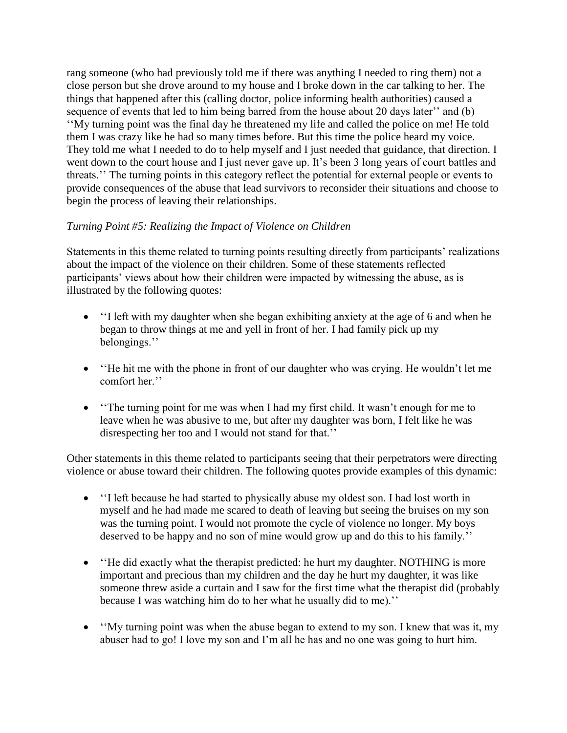rang someone (who had previously told me if there was anything I needed to ring them) not a close person but she drove around to my house and I broke down in the car talking to her. The things that happened after this (calling doctor, police informing health authorities) caused a sequence of events that led to him being barred from the house about 20 days later'' and (b) ''My turning point was the final day he threatened my life and called the police on me! He told them I was crazy like he had so many times before. But this time the police heard my voice. They told me what I needed to do to help myself and I just needed that guidance, that direction. I went down to the court house and I just never gave up. It's been 3 long years of court battles and threats.'' The turning points in this category reflect the potential for external people or events to provide consequences of the abuse that lead survivors to reconsider their situations and choose to begin the process of leaving their relationships.

# *Turning Point #5: Realizing the Impact of Violence on Children*

Statements in this theme related to turning points resulting directly from participants' realizations about the impact of the violence on their children. Some of these statements reflected participants' views about how their children were impacted by witnessing the abuse, as is illustrated by the following quotes:

- ''I left with my daughter when she began exhibiting anxiety at the age of 6 and when he began to throw things at me and yell in front of her. I had family pick up my belongings.''
- ''He hit me with the phone in front of our daughter who was crying. He wouldn't let me comfort her.''
- ''The turning point for me was when I had my first child. It wasn't enough for me to leave when he was abusive to me, but after my daughter was born, I felt like he was disrespecting her too and I would not stand for that.''

Other statements in this theme related to participants seeing that their perpetrators were directing violence or abuse toward their children. The following quotes provide examples of this dynamic:

- ''I left because he had started to physically abuse my oldest son. I had lost worth in myself and he had made me scared to death of leaving but seeing the bruises on my son was the turning point. I would not promote the cycle of violence no longer. My boys deserved to be happy and no son of mine would grow up and do this to his family.''
- ''He did exactly what the therapist predicted: he hurt my daughter. NOTHING is more important and precious than my children and the day he hurt my daughter, it was like someone threw aside a curtain and I saw for the first time what the therapist did (probably because I was watching him do to her what he usually did to me).''
- ''My turning point was when the abuse began to extend to my son. I knew that was it, my abuser had to go! I love my son and I'm all he has and no one was going to hurt him.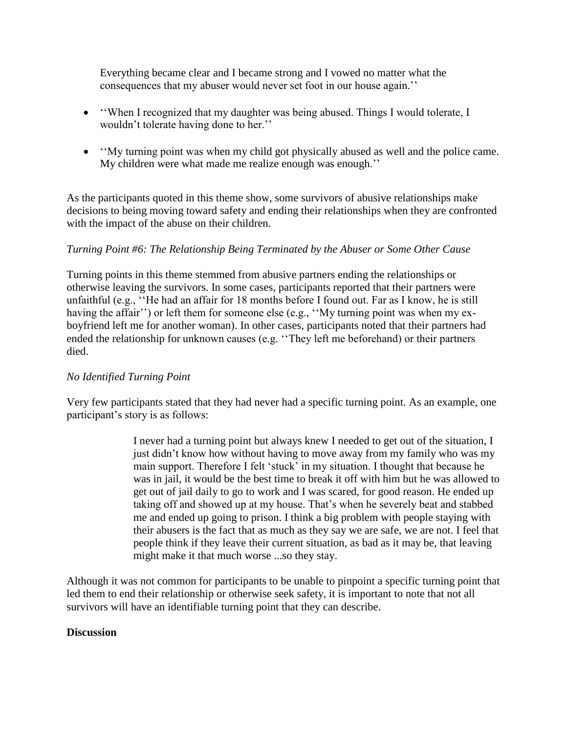Everything became clear and I became strong and I vowed no matter what the consequences that my abuser would never set foot in our house again.''

- ''When I recognized that my daughter was being abused. Things I would tolerate, I wouldn't tolerate having done to her.''
- ''My turning point was when my child got physically abused as well and the police came. My children were what made me realize enough was enough."

As the participants quoted in this theme show, some survivors of abusive relationships make decisions to being moving toward safety and ending their relationships when they are confronted with the impact of the abuse on their children.

# *Turning Point #6: The Relationship Being Terminated by the Abuser or Some Other Cause*

Turning points in this theme stemmed from abusive partners ending the relationships or otherwise leaving the survivors. In some cases, participants reported that their partners were unfaithful (e.g., ''He had an affair for 18 months before I found out. Far as I know, he is still having the affair'') or left them for someone else (e.g., "My turning point was when my exboyfriend left me for another woman). In other cases, participants noted that their partners had ended the relationship for unknown causes (e.g. ''They left me beforehand) or their partners died.

# *No Identified Turning Point*

Very few participants stated that they had never had a specific turning point. As an example, one participant's story is as follows:

> I never had a turning point but always knew I needed to get out of the situation, I just didn't know how without having to move away from my family who was my main support. Therefore I felt 'stuck' in my situation. I thought that because he was in jail, it would be the best time to break it off with him but he was allowed to get out of jail daily to go to work and I was scared, for good reason. He ended up taking off and showed up at my house. That's when he severely beat and stabbed me and ended up going to prison. I think a big problem with people staying with their abusers is the fact that as much as they say we are safe, we are not. I feel that people think if they leave their current situation, as bad as it may be, that leaving might make it that much worse ...so they stay.

Although it was not common for participants to be unable to pinpoint a specific turning point that led them to end their relationship or otherwise seek safety, it is important to note that not all survivors will have an identifiable turning point that they can describe.

#### **Discussion**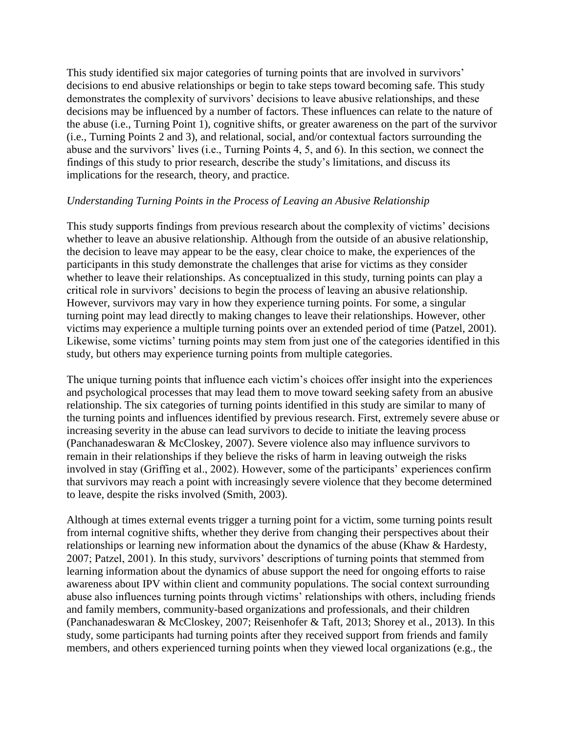This study identified six major categories of turning points that are involved in survivors' decisions to end abusive relationships or begin to take steps toward becoming safe. This study demonstrates the complexity of survivors' decisions to leave abusive relationships, and these decisions may be influenced by a number of factors. These influences can relate to the nature of the abuse (i.e., Turning Point 1), cognitive shifts, or greater awareness on the part of the survivor (i.e., Turning Points 2 and 3), and relational, social, and/or contextual factors surrounding the abuse and the survivors' lives (i.e., Turning Points 4, 5, and 6). In this section, we connect the findings of this study to prior research, describe the study's limitations, and discuss its implications for the research, theory, and practice.

## *Understanding Turning Points in the Process of Leaving an Abusive Relationship*

This study supports findings from previous research about the complexity of victims' decisions whether to leave an abusive relationship. Although from the outside of an abusive relationship, the decision to leave may appear to be the easy, clear choice to make, the experiences of the participants in this study demonstrate the challenges that arise for victims as they consider whether to leave their relationships. As conceptualized in this study, turning points can play a critical role in survivors' decisions to begin the process of leaving an abusive relationship. However, survivors may vary in how they experience turning points. For some, a singular turning point may lead directly to making changes to leave their relationships. However, other victims may experience a multiple turning points over an extended period of time (Patzel, 2001). Likewise, some victims' turning points may stem from just one of the categories identified in this study, but others may experience turning points from multiple categories.

The unique turning points that influence each victim's choices offer insight into the experiences and psychological processes that may lead them to move toward seeking safety from an abusive relationship. The six categories of turning points identified in this study are similar to many of the turning points and influences identified by previous research. First, extremely severe abuse or increasing severity in the abuse can lead survivors to decide to initiate the leaving process (Panchanadeswaran & McCloskey, 2007). Severe violence also may influence survivors to remain in their relationships if they believe the risks of harm in leaving outweigh the risks involved in stay (Griffing et al., 2002). However, some of the participants' experiences confirm that survivors may reach a point with increasingly severe violence that they become determined to leave, despite the risks involved (Smith, 2003).

Although at times external events trigger a turning point for a victim, some turning points result from internal cognitive shifts, whether they derive from changing their perspectives about their relationships or learning new information about the dynamics of the abuse (Khaw & Hardesty, 2007; Patzel, 2001). In this study, survivors' descriptions of turning points that stemmed from learning information about the dynamics of abuse support the need for ongoing efforts to raise awareness about IPV within client and community populations. The social context surrounding abuse also influences turning points through victims' relationships with others, including friends and family members, community-based organizations and professionals, and their children (Panchanadeswaran & McCloskey, 2007; Reisenhofer & Taft, 2013; Shorey et al., 2013). In this study, some participants had turning points after they received support from friends and family members, and others experienced turning points when they viewed local organizations (e.g., the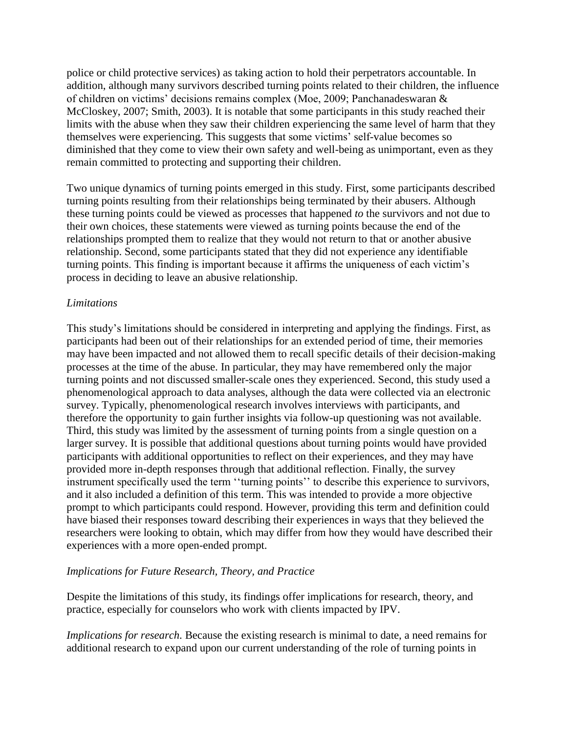police or child protective services) as taking action to hold their perpetrators accountable. In addition, although many survivors described turning points related to their children, the influence of children on victims' decisions remains complex (Moe, 2009; Panchanadeswaran & McCloskey, 2007; Smith, 2003). It is notable that some participants in this study reached their limits with the abuse when they saw their children experiencing the same level of harm that they themselves were experiencing. This suggests that some victims' self-value becomes so diminished that they come to view their own safety and well-being as unimportant, even as they remain committed to protecting and supporting their children.

Two unique dynamics of turning points emerged in this study. First, some participants described turning points resulting from their relationships being terminated by their abusers. Although these turning points could be viewed as processes that happened *to* the survivors and not due to their own choices, these statements were viewed as turning points because the end of the relationships prompted them to realize that they would not return to that or another abusive relationship. Second, some participants stated that they did not experience any identifiable turning points. This finding is important because it affirms the uniqueness of each victim's process in deciding to leave an abusive relationship.

## *Limitations*

This study's limitations should be considered in interpreting and applying the findings. First, as participants had been out of their relationships for an extended period of time, their memories may have been impacted and not allowed them to recall specific details of their decision-making processes at the time of the abuse. In particular, they may have remembered only the major turning points and not discussed smaller-scale ones they experienced. Second, this study used a phenomenological approach to data analyses, although the data were collected via an electronic survey. Typically, phenomenological research involves interviews with participants, and therefore the opportunity to gain further insights via follow-up questioning was not available. Third, this study was limited by the assessment of turning points from a single question on a larger survey. It is possible that additional questions about turning points would have provided participants with additional opportunities to reflect on their experiences, and they may have provided more in-depth responses through that additional reflection. Finally, the survey instrument specifically used the term ''turning points'' to describe this experience to survivors, and it also included a definition of this term. This was intended to provide a more objective prompt to which participants could respond. However, providing this term and definition could have biased their responses toward describing their experiences in ways that they believed the researchers were looking to obtain, which may differ from how they would have described their experiences with a more open-ended prompt.

#### *Implications for Future Research, Theory, and Practice*

Despite the limitations of this study, its findings offer implications for research, theory, and practice, especially for counselors who work with clients impacted by IPV.

*Implications for research.* Because the existing research is minimal to date, a need remains for additional research to expand upon our current understanding of the role of turning points in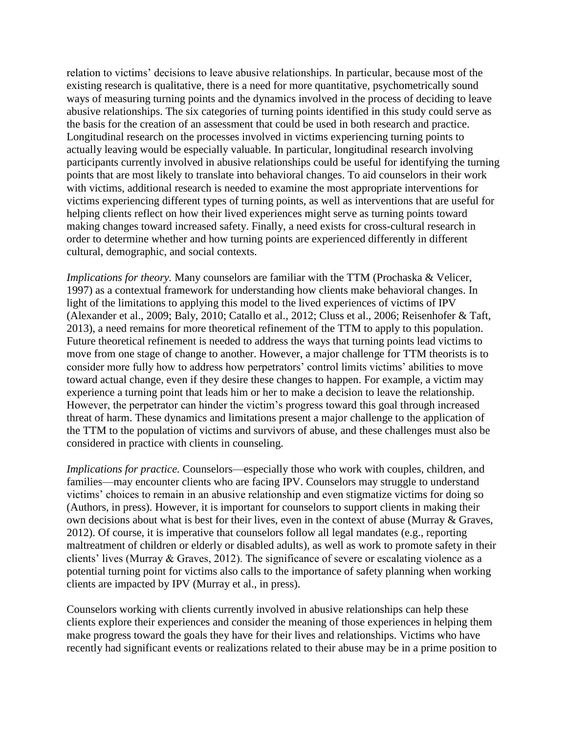relation to victims' decisions to leave abusive relationships. In particular, because most of the existing research is qualitative, there is a need for more quantitative, psychometrically sound ways of measuring turning points and the dynamics involved in the process of deciding to leave abusive relationships. The six categories of turning points identified in this study could serve as the basis for the creation of an assessment that could be used in both research and practice. Longitudinal research on the processes involved in victims experiencing turning points to actually leaving would be especially valuable. In particular, longitudinal research involving participants currently involved in abusive relationships could be useful for identifying the turning points that are most likely to translate into behavioral changes. To aid counselors in their work with victims, additional research is needed to examine the most appropriate interventions for victims experiencing different types of turning points, as well as interventions that are useful for helping clients reflect on how their lived experiences might serve as turning points toward making changes toward increased safety. Finally, a need exists for cross-cultural research in order to determine whether and how turning points are experienced differently in different cultural, demographic, and social contexts.

*Implications for theory.* Many counselors are familiar with the TTM (Prochaska & Velicer, 1997) as a contextual framework for understanding how clients make behavioral changes. In light of the limitations to applying this model to the lived experiences of victims of IPV (Alexander et al., 2009; Baly, 2010; Catallo et al., 2012; Cluss et al., 2006; Reisenhofer & Taft, 2013), a need remains for more theoretical refinement of the TTM to apply to this population. Future theoretical refinement is needed to address the ways that turning points lead victims to move from one stage of change to another. However, a major challenge for TTM theorists is to consider more fully how to address how perpetrators' control limits victims' abilities to move toward actual change, even if they desire these changes to happen. For example, a victim may experience a turning point that leads him or her to make a decision to leave the relationship. However, the perpetrator can hinder the victim's progress toward this goal through increased threat of harm. These dynamics and limitations present a major challenge to the application of the TTM to the population of victims and survivors of abuse, and these challenges must also be considered in practice with clients in counseling.

*Implications for practice.* Counselors—especially those who work with couples, children, and families—may encounter clients who are facing IPV. Counselors may struggle to understand victims' choices to remain in an abusive relationship and even stigmatize victims for doing so (Authors, in press). However, it is important for counselors to support clients in making their own decisions about what is best for their lives, even in the context of abuse (Murray & Graves, 2012). Of course, it is imperative that counselors follow all legal mandates (e.g., reporting maltreatment of children or elderly or disabled adults), as well as work to promote safety in their clients' lives (Murray & Graves, 2012). The significance of severe or escalating violence as a potential turning point for victims also calls to the importance of safety planning when working clients are impacted by IPV (Murray et al., in press).

Counselors working with clients currently involved in abusive relationships can help these clients explore their experiences and consider the meaning of those experiences in helping them make progress toward the goals they have for their lives and relationships. Victims who have recently had significant events or realizations related to their abuse may be in a prime position to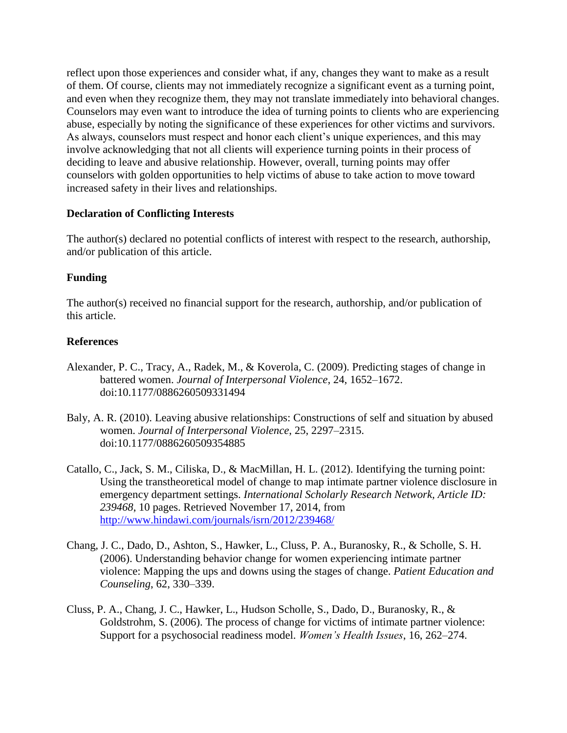reflect upon those experiences and consider what, if any, changes they want to make as a result of them. Of course, clients may not immediately recognize a significant event as a turning point, and even when they recognize them, they may not translate immediately into behavioral changes. Counselors may even want to introduce the idea of turning points to clients who are experiencing abuse, especially by noting the significance of these experiences for other victims and survivors. As always, counselors must respect and honor each client's unique experiences, and this may involve acknowledging that not all clients will experience turning points in their process of deciding to leave and abusive relationship. However, overall, turning points may offer counselors with golden opportunities to help victims of abuse to take action to move toward increased safety in their lives and relationships.

## **Declaration of Conflicting Interests**

The author(s) declared no potential conflicts of interest with respect to the research, authorship, and/or publication of this article.

## **Funding**

The author(s) received no financial support for the research, authorship, and/or publication of this article.

## **References**

- Alexander, P. C., Tracy, A., Radek, M., & Koverola, C. (2009). Predicting stages of change in battered women. *Journal of Interpersonal Violence*, 24, 1652–1672. doi:10.1177/0886260509331494
- Baly, A. R. (2010). Leaving abusive relationships: Constructions of self and situation by abused women. *Journal of Interpersonal Violence*, 25, 2297–2315. doi:10.1177/0886260509354885
- Catallo, C., Jack, S. M., Ciliska, D., & MacMillan, H. L. (2012). Identifying the turning point: Using the transtheoretical model of change to map intimate partner violence disclosure in emergency department settings. *International Scholarly Research Network, Article ID: 239468*, 10 pages. Retrieved November 17, 2014, from <http://www.hindawi.com/journals/isrn/2012/239468/>
- Chang, J. C., Dado, D., Ashton, S., Hawker, L., Cluss, P. A., Buranosky, R., & Scholle, S. H. (2006). Understanding behavior change for women experiencing intimate partner violence: Mapping the ups and downs using the stages of change. *Patient Education and Counseling*, 62, 330–339.
- Cluss, P. A., Chang, J. C., Hawker, L., Hudson Scholle, S., Dado, D., Buranosky, R., & Goldstrohm, S. (2006). The process of change for victims of intimate partner violence: Support for a psychosocial readiness model. *Women's Health Issues*, 16, 262–274.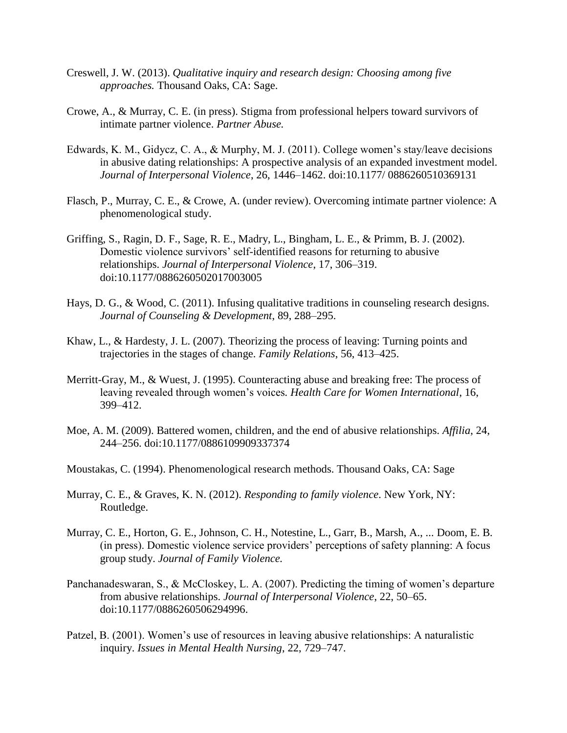- Creswell, J. W. (2013). *Qualitative inquiry and research design: Choosing among five approaches.* Thousand Oaks, CA: Sage.
- Crowe, A., & Murray, C. E. (in press). Stigma from professional helpers toward survivors of intimate partner violence. *Partner Abuse.*
- Edwards, K. M., Gidycz, C. A., & Murphy, M. J. (2011). College women's stay/leave decisions in abusive dating relationships: A prospective analysis of an expanded investment model. *Journal of Interpersonal Violence*, 26, 1446–1462. doi:10.1177/ 0886260510369131
- Flasch, P., Murray, C. E., & Crowe, A. (under review). Overcoming intimate partner violence: A phenomenological study.
- Griffing, S., Ragin, D. F., Sage, R. E., Madry, L., Bingham, L. E., & Primm, B. J. (2002). Domestic violence survivors' self-identified reasons for returning to abusive relationships. *Journal of Interpersonal Violence*, 17, 306–319. doi:10.1177/0886260502017003005
- Hays, D. G., & Wood, C. (2011). Infusing qualitative traditions in counseling research designs. *Journal of Counseling & Development*, 89, 288–295.
- Khaw, L., & Hardesty, J. L. (2007). Theorizing the process of leaving: Turning points and trajectories in the stages of change. *Family Relations*, 56, 413–425.
- Merritt-Gray, M., & Wuest, J. (1995). Counteracting abuse and breaking free: The process of leaving revealed through women's voices*. Health Care for Women International*, 16, 399–412.
- Moe, A. M. (2009). Battered women, children, and the end of abusive relationships. *Affilia*, 24, 244–256. doi:10.1177/0886109909337374
- Moustakas, C. (1994). Phenomenological research methods. Thousand Oaks, CA: Sage
- Murray, C. E., & Graves, K. N. (2012). *Responding to family violence*. New York, NY: Routledge.
- Murray, C. E., Horton, G. E., Johnson, C. H., Notestine, L., Garr, B., Marsh, A., ... Doom, E. B. (in press). Domestic violence service providers' perceptions of safety planning: A focus group study. *Journal of Family Violence.*
- Panchanadeswaran, S., & McCloskey, L. A. (2007). Predicting the timing of women's departure from abusive relationships. *Journal of Interpersonal Violence*, 22, 50–65. doi:10.1177/0886260506294996.
- Patzel, B. (2001). Women's use of resources in leaving abusive relationships: A naturalistic inquiry. *Issues in Mental Health Nursing*, 22, 729–747.